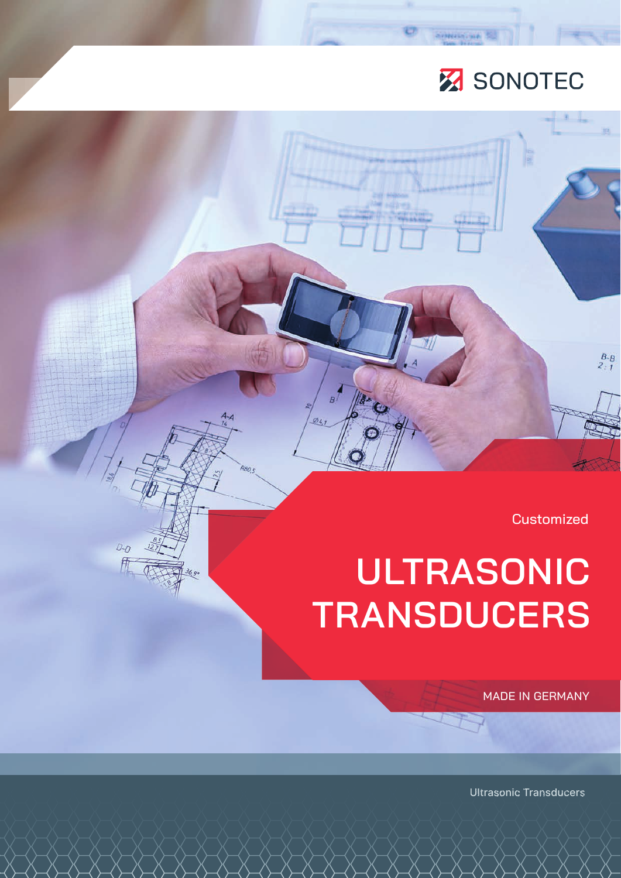# **Z** SONOTEC

E7

 $\overline{R}$ 

ø.

 $D - D$ 

Sensitive SJ

**Customized** 

 $rac{B-B}{2.1}$ 

# **ULTRASONIC TRANSDUCERS**

MADE IN GERMANY

Ultrasonic Transducers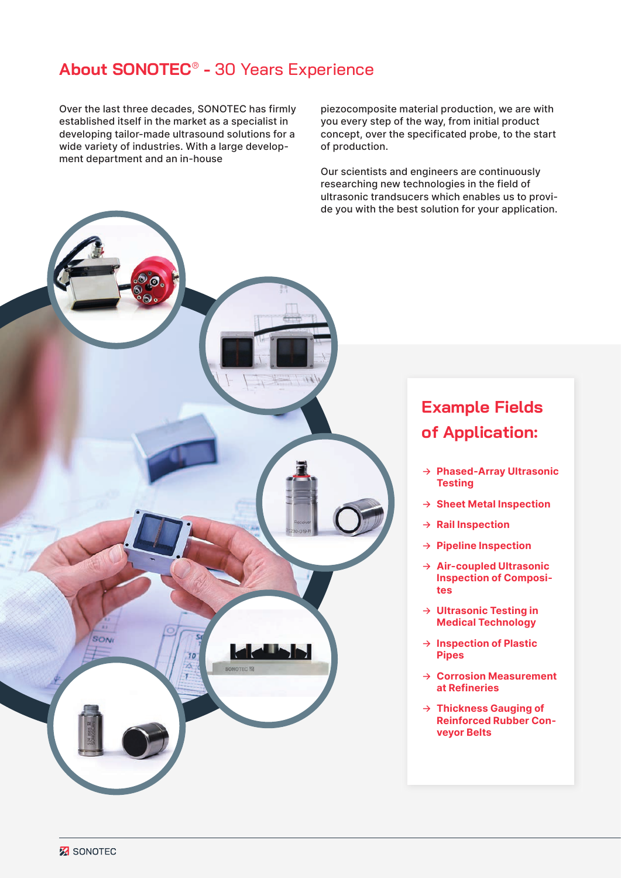### **About SONOTEC**®  **-** 30 Years Experience

Over the last three decades, SONOTEC has firmly established itself in the market as a specialist in developing tailor-made ultrasound solutions for a wide variety of industries. With a large development department and an in-house

piezocomposite material production, we are with you every step of the way, from initial product concept, over the specificated probe, to the start of production.

Our scientists and engineers are continuously researching new technologies in the field of ultrasonic trandsucers which enables us to provide you with the best solution for your application.



## **Example Fields of Application:**

- → **Phased-Array Ultrasonic Testing**
- → **Sheet Metal Inspection**
- → **Rail Inspection**
- → **Pipeline Inspection**
- → **Air-coupled Ultrasonic Inspection of Composites**
- → **Ultrasonic Testing in Medical Technology**
- → **Inspection of Plastic Pipes**
- → **Corrosion Measurement at Refineries**
- → **Thickness Gauging of Reinforced Rubber Conveyor Belts**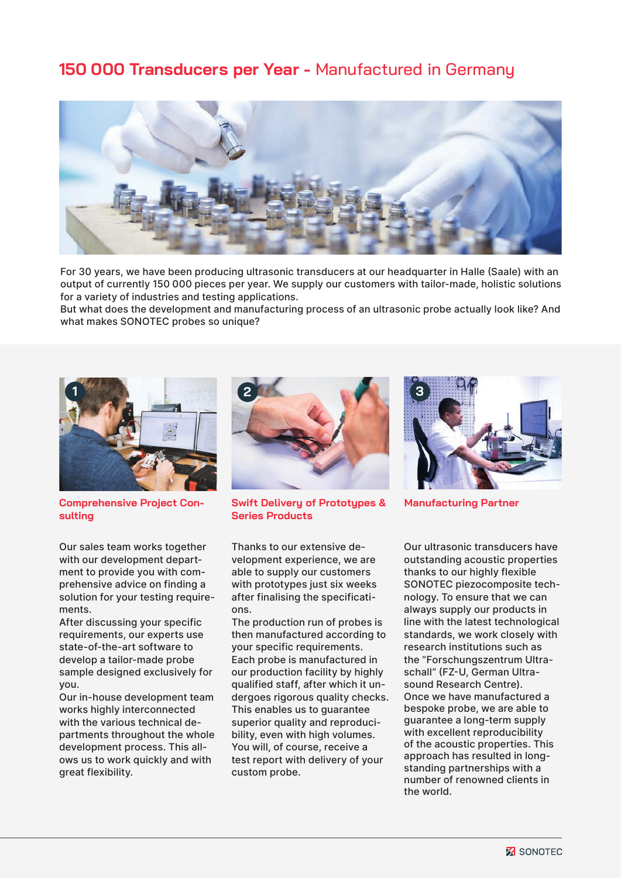#### **150 000 Transducers per Year -** Manufactured in Germany



For 30 years, we have been producing ultrasonic transducers at our headquarter in Halle (Saale) with an output of currently 150 000 pieces per year. We supply our customers with tailor-made, holistic solutions for a variety of industries and testing applications.

But what does the development and manufacturing process of an ultrasonic probe actually look like? And what makes SONOTEC probes so unique?



**Comprehensive Project Consulting**

Our sales team works together with our development department to provide you with comprehensive advice on finding a solution for your testing requirements.

After discussing your specific requirements, our experts use state-of-the-art software to develop a tailor-made probe sample designed exclusively for you.

Our in-house development team works highly interconnected with the various technical departments throughout the whole development process. This allows us to work quickly and with great flexibility.



**Swift Delivery of Prototypes & Series Products**

Thanks to our extensive development experience, we are able to supply our customers with prototypes just six weeks after finalising the specifications.

The production run of probes is then manufactured according to your specific requirements. Each probe is manufactured in our production facility by highly qualified staff, after which it undergoes rigorous quality checks. This enables us to guarantee superior quality and reproducibility, even with high volumes. You will, of course, receive a test report with delivery of your custom probe.



**Manufacturing Partner**

Our ultrasonic transducers have outstanding acoustic properties thanks to our highly flexible SONOTEC piezocomposite technology. To ensure that we can always supply our products in line with the latest technological standards, we work closely with research institutions such as the "Forschungszentrum Ultraschall" (FZ-U, German Ultrasound Research Centre). Once we have manufactured a bespoke probe, we are able to guarantee a long-term supply with excellent reproducibility of the acoustic properties. This approach has resulted in longstanding partnerships with a number of renowned clients in the world.